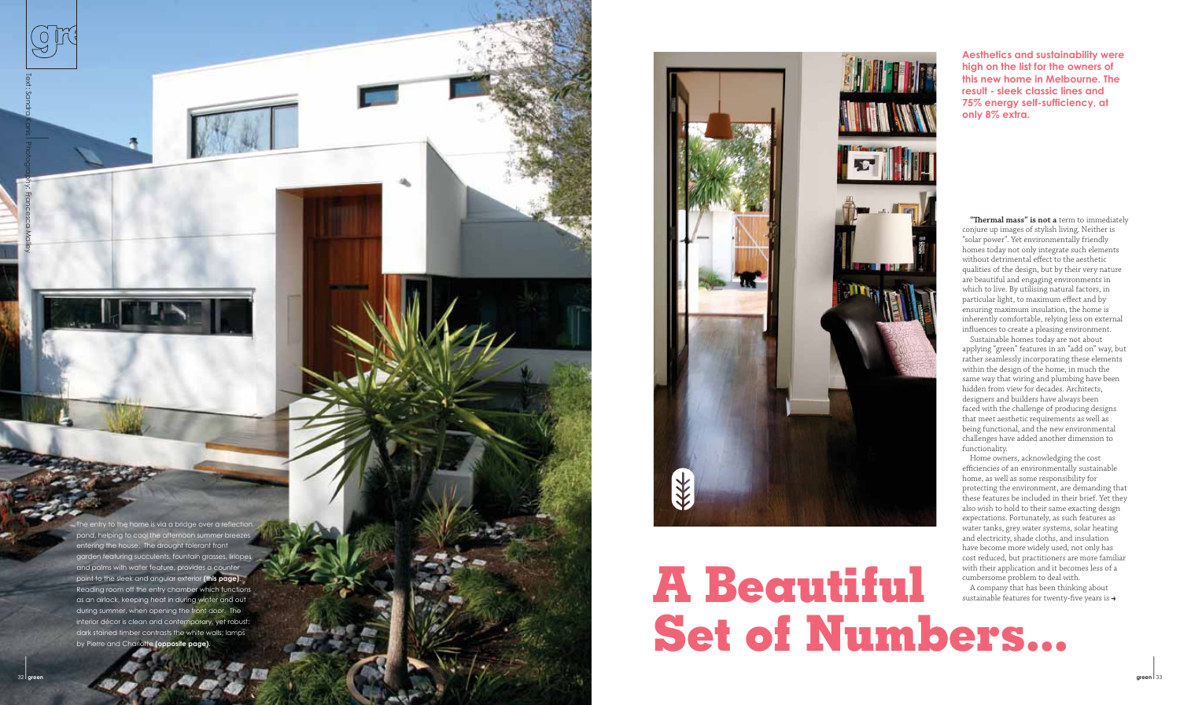**Aesthetics and sustainability were high on the list for the owners of this new home in Melbourne. The result - sleek classic lines and 75% energy self-sufficiency, at only 8% extra.**

"Thermal mass" is not a term to immediately conjure up images of stylish living. Neither is "solar power". Yet environmentally friendly homes today not only integrate such elements without detrimental effect to the aesthetic qualities of the design, but by their very nature are beautiful and engaging environments in which to live. By utilising natural factors, in particular light, to maximum effect and by ensuring maximum insulation, the home is inherently comfortable, relying less on external influences to create a pleasing environment.

ne entry to the home is via a bridge over a reflectior pond, helping to cool the afternoon summer breezes entering the house. The drought tolerant front garden featuring succulents, fountain grasses, liriopes and palms with water feature, provides a counter point to the sleek and angular exterior **(this page)**. Reading room off the entry chamber which functions as an airlock, keeping heat in during winter and out during summer, when opening the front door. The interior décor is clean and contemporary, yet robust: dark stained timber contrasts the white walls; lamps by Pierre and Charlotte **(opposite page)**.



### **A Beautiful Set of Numbers...**  $\frac{1}{2}$  green  $\frac{1}{3}$

A company that has been thinking about sustainable features for twenty-five years is  $\rightarrow$ 

Sustainable homes today are not about applying "green" features in an "add on" way, but rather seamlessly incorporating these elements within the design of the home, in much the same way that wiring and plumbing have been hidden from view for decades. Architects, designers and builders have always been faced with the challenge of producing designs that meet aesthetic requirements as well as being functional, and the new environmental challenges have added another dimension to functionality.

Home owners, acknowledging the cost efficiencies of an environmentally sustainable home, as well as some responsibility for protecting the environment, are demanding that these features be included in their brief. Yet they also wish to hold to their same exacting design expectations. Fortunately, as such features as water tanks, grey water systems, solar heating and electricity, shade cloths, and insulation have become more widely used, not only has cost reduced, but practitioners are more familiar with their application and it becomes less of a cumbersome problem to deal with.

Text: Sandra Kanis **I** 

Photography: Francesca Malley

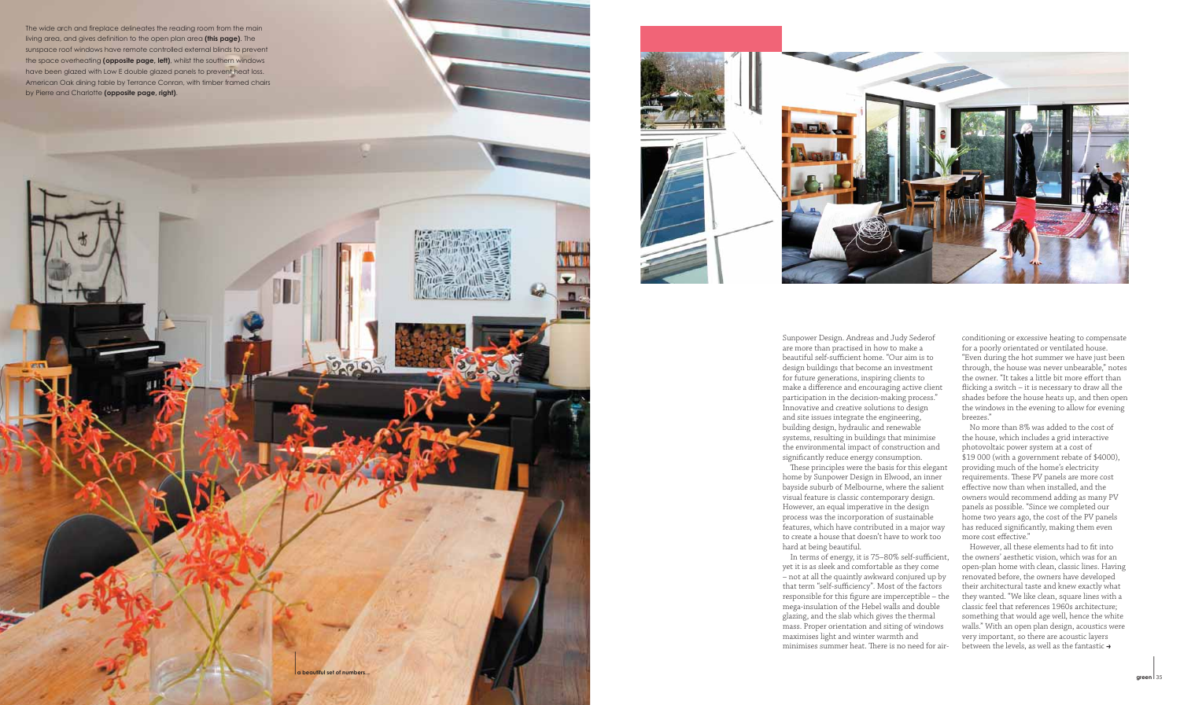Sunpower Design. Andreas and Judy Sederof are more than practised in how to make a beautiful self-sufficient home. "Our aim is to design buildings that become an investment for future generations, inspiring clients to make a difference and encouraging active client participation in the decision-making process." Innovative and creative solutions to design and site issues integrate the engineering, building design, hydraulic and renewable systems, resulting in buildings that minimise the environmental impact of construction and significantly reduce energy consumption. These principles were the basis for this elegant home by Sunpower Design in Elwood, an inner bayside suburb of Melbourne, where the salient visual feature is classic contemporary design. However, an equal imperative in the design process was the incorporation of sustainable features, which have contributed in a major way to create a house that doesn't have to work too hard at being beautiful.

In terms of energy, it is 75-80% self-sufficient,

yet it is as sleek and comfortable as they come – not at all the quaintly awkward conjured up by that term "self-sufficiency". Most of the factors responsible for this figure are imperceptible  $-$  the mega-insulation of the Hebel walls and double glazing, and the slab which gives the thermal mass. Proper orientation and siting of windows maximises light and winter warmth and minimises summer heat. There is no need for air**green** 35 *green* **35 <b>***green* 35



conditioning or excessive heating to compensate<br>for a poorly orientated or ventilated house.<br>"Even during the hot summer we have just been<br>through, the house was never unbearable," notes the owner. "It takes a little bit more effort than flicking a switch – it is necessary to draw all the shades before the house heats up, and then open the windows in the evening to allow for evening breezes."

No more than 8% was added to the cost of the house, which includes a grid interactive <sup>p</sup>hotovoltaic power system at a cost of \$19 000 (with a government rebate of \$4000), providing much of the home's electricity requirements. These PV panels are more cost effective now than when installed, and the owners would recommend adding as many PV panels as possible. "Since we completed our home two years ago, the cost of the PV panels has reduced significantly, making them even more cost effective."

However, all these elements had to fit into the owners' aesthetic vision, which was for an open-plan home with clean, classic lines. Having renovated before, the owners have developed their architectural taste and knew exactly what they wanted. "We like clean, square lines with a classic feel that references 1960s architecture; something that would age well, hence the white walls." With an open plan design, acoustics were very important, so there are acoustic layers between the levels, as well as the fantastic **>**

The wide arch and fireplace delineates the reading room from the main living area, and gives definition to the open plan area **(this page)**. The sunspace roof windows have remote controlled external blinds to prevent the space overheating **(opposite page, left)**, whilst the southern windows have been glazed with Low E double glazed panels to prevent heat loss. American Oak dining table by Terrance Conran, with timber framed chairs by Pierre and Charlotte **(opposite page, right)**.



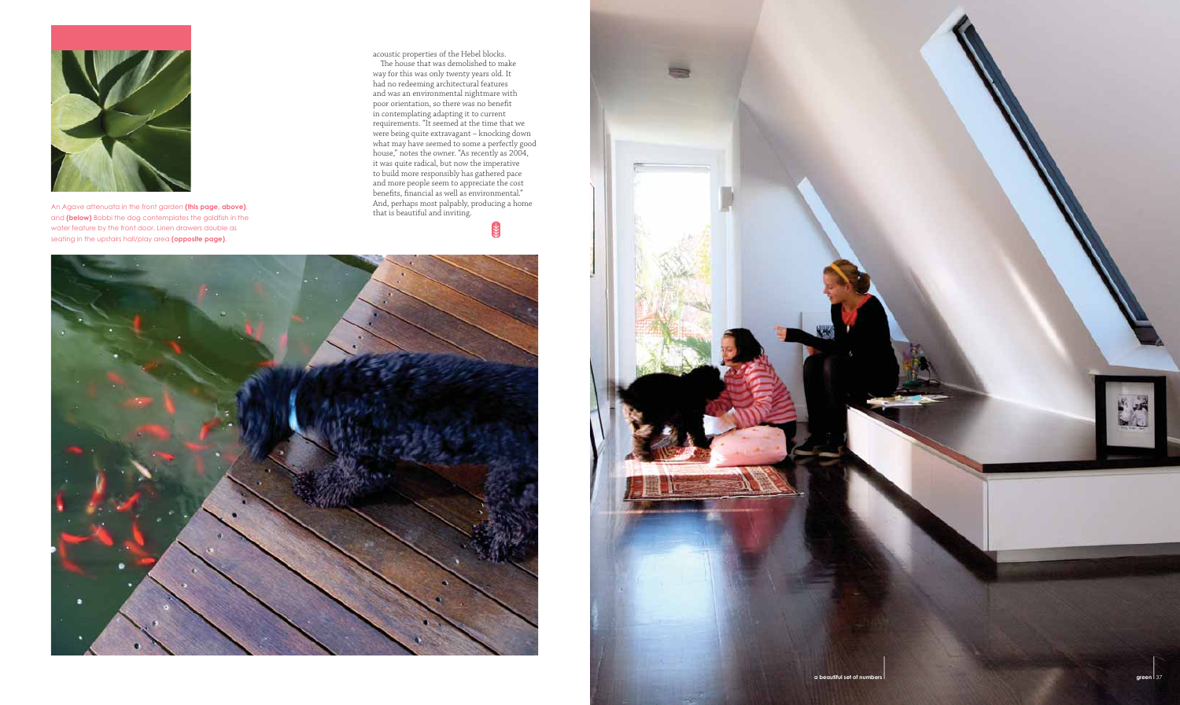acoustic properties of the Hebel blocks.

The house that was demolished to make way for this was only twenty years old. It had no redeeming architectural features and was an environmental nightmare with poor orientation, so there was no benefit in contemplating adapting it to current requirements. "It seemed at the time that we were being quite extravagant – knocking down what may have seemed to some a perfectly good house," notes the owner. "As recently as 2004, it was quite radical, but now the imperative to build more responsibly has gathered pace and more people seem to appreciate the cost benefits, financial as well as environmental." And, perhaps most palpably, producing a home

**RE** 







An Agave attenuata in the front garden **(this page, above)**, and **(below)** Bobbi the dog contemplates the goldfish in the water feature by the front door. Linen drawers double as seating in the upstairs hall/play area **(opposite page)**.